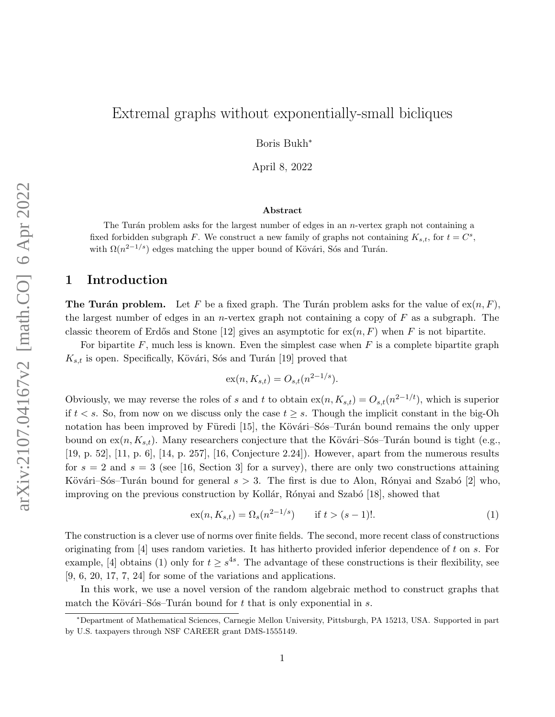# Extremal graphs without exponentially-small bicliques

Boris Bukh<sup>∗</sup>

April 8, 2022

#### Abstract

The Turán problem asks for the largest number of edges in an  $n$ -vertex graph not containing a fixed forbidden subgraph F. We construct a new family of graphs not containing  $K_{s,t}$ , for  $t = C^s$ , with  $\Omega(n^{2-1/s})$  edges matching the upper bound of Kövári, Sós and Turán.

# 1 Introduction

**The Turán problem.** Let F be a fixed graph. The Turán problem asks for the value of  $ex(n, F)$ , the largest number of edges in an *n*-vertex graph not containing a copy of  $F$  as a subgraph. The classic theorem of Erdős and Stone [\[12\]](#page-16-0) gives an asymptotic for  $\mathbf{ex}(n, F)$  when F is not bipartite.

For bipartite  $F$ , much less is known. Even the simplest case when  $F$  is a complete bipartite graph  $K_{s,t}$  is open. Specifically, Kövári, Sós and Turán [\[19\]](#page-17-0) proved that

$$
\mathrm{ex}(n, K_{s,t}) = O_{s,t}(n^{2-1/s}).
$$

Obviously, we may reverse the roles of s and t to obtain  $ex(n, K_{s,t}) = O_{s,t}(n^{2-1/t})$ , which is superior if  $t < s$ . So, from now on we discuss only the case  $t \geq s$ . Though the implicit constant in the big-Oh notation has been improved by Füredi [\[15\]](#page-16-1), the Kövári–Sós–Turán bound remains the only upper bound on  $ex(n, K_{s,t})$ . Many researchers conjecture that the Kövári–Sós–Turán bound is tight (e.g., [\[19,](#page-17-0) p. 52], [\[11,](#page-16-2) p. 6], [\[14,](#page-16-3) p. 257], [\[16,](#page-17-1) Conjecture 2.24]). However, apart from the numerous results for  $s = 2$  and  $s = 3$  (see [\[16,](#page-17-1) Section 3] for a survey), there are only two constructions attaining Kövári–Sós–Turán bound for general  $s > 3$ . The first is due to Alon, Rónyai and Szabó [\[2\]](#page-16-4) who, improving on the previous construction by Kollár, Rónyai and Szabó [\[18\]](#page-17-2), showed that

<span id="page-0-0"></span>
$$
ex(n, K_{s,t}) = \Omega_s(n^{2-1/s}) \qquad \text{if } t > (s-1)!.
$$
 (1)

The construction is a clever use of norms over finite fields. The second, more recent class of constructions originating from  $[4]$  uses random varieties. It has hitherto provided inferior dependence of t on s. For example, [\[4\]](#page-16-5) obtains [\(1\)](#page-0-0) only for  $t \geq s^{4s}$ . The advantage of these constructions is their flexibility, see [\[9,](#page-16-6) [6,](#page-16-7) [20,](#page-17-3) [17,](#page-17-4) [7,](#page-16-8) [24\]](#page-17-5) for some of the variations and applications.

In this work, we use a novel version of the random algebraic method to construct graphs that match the Kövári–Sós–Turán bound for t that is only exponential in s.

<span id="page-0-1"></span><sup>∗</sup>Department of Mathematical Sciences, Carnegie Mellon University, Pittsburgh, PA 15213, USA. Supported in part by U.S. taxpayers through NSF CAREER grant DMS-1555149.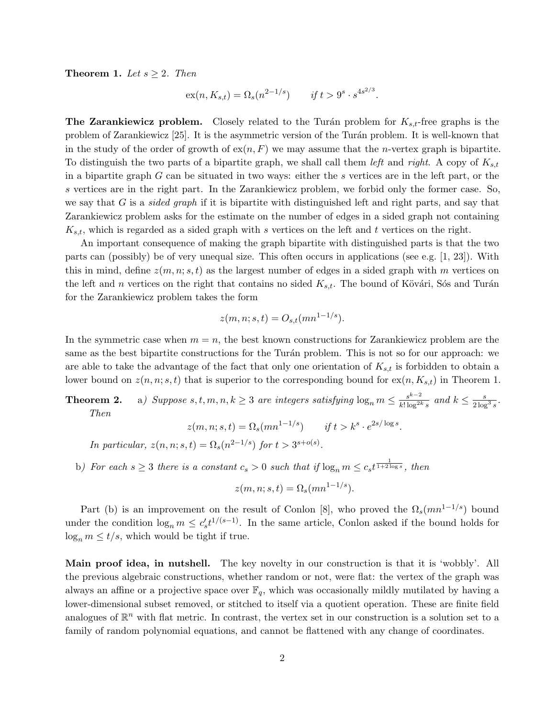**Theorem 1.** Let  $s \geq 2$ . Then

$$
ex(n, K_{s,t}) = \Omega_s(n^{2-1/s}) \qquad \text{if } t > 9^s \cdot s^{4s^{2/3}}.
$$

**The Zarankiewicz problem.** Closely related to the Turán problem for  $K_{s,t}$ -free graphs is the problem of Zarankiewicz [\[25\]](#page-17-6). It is the asymmetric version of the Tur´an problem. It is well-known that in the study of the order of growth of  $ex(n, F)$  we may assume that the *n*-vertex graph is bipartite. To distinguish the two parts of a bipartite graph, we shall call them left and right. A copy of  $K_{s,t}$ in a bipartite graph G can be situated in two ways: either the s vertices are in the left part, or the s vertices are in the right part. In the Zarankiewicz problem, we forbid only the former case. So, we say that  $G$  is a *sided graph* if it is bipartite with distinguished left and right parts, and say that Zarankiewicz problem asks for the estimate on the number of edges in a sided graph not containing  $K_{s,t}$ , which is regarded as a sided graph with s vertices on the left and t vertices on the right.

An important consequence of making the graph bipartite with distinguished parts is that the two parts can (possibly) be of very unequal size. This often occurs in applications (see e.g.  $[1, 23]$  $[1, 23]$  $[1, 23]$ ). With this in mind, define  $z(m, n; s, t)$  as the largest number of edges in a sided graph with m vertices on the left and n vertices on the right that contains no sided  $K_{s,t}$ . The bound of Kövári, Sós and Turán for the Zarankiewicz problem takes the form

$$
z(m, n; s, t) = O_{s,t}(mn^{1-1/s}).
$$

In the symmetric case when  $m = n$ , the best known constructions for Zarankiewicz problem are the same as the best bipartite constructions for the Turán problem. This is not so for our approach: we are able to take the advantage of the fact that only one orientation of  $K_{s,t}$  is forbidden to obtain a lower bound on  $z(n, n; s, t)$  that is superior to the corresponding bound for  $ex(n, K_{s,t})$  in [Theorem 1.](#page-0-1)

<span id="page-1-1"></span><span id="page-1-0"></span>**Theorem 2.** a) Suppose  $s, t, m, n, k \geq 3$  are integers satisfying  $\log_n m \leq \frac{s^{k-2}}{k! \log^{2k}}$  $\frac{s^{k-2}}{k! \log^{2k} s}$  and  $k \leq \frac{s}{2 \log^3 s}$ . Then

$$
z(m, n; s, t) = \Omega_s(mn^{1-1/s}) \qquad \text{if } t > k^s \cdot e^{2s/\log s}.
$$

In particular,  $z(n, n; s, t) = \Omega_s(n^{2-1/s})$  for  $t > 3^{s+o(s)}$ .

<span id="page-1-2"></span>b) For each  $s \geq 3$  there is a constant  $c_s > 0$  such that if  $\log_n m \leq c_s t^{\frac{1}{1+2\log s}}$ , then

$$
z(m, n; s, t) = \Omega_s(mn^{1-1/s}).
$$

Part (b) is an improvement on the result of Conlon [\[8\]](#page-16-10), who proved the  $\Omega_s(mn^{1-1/s})$  bound under the condition  $\log_n m \leq c'_s t^{1/(s-1)}$ . In the same article, Conlon asked if the bound holds for  $\log_n m \leq t/s$ , which would be tight if true.

Main proof idea, in nutshell. The key novelty in our construction is that it is 'wobbly'. All the previous algebraic constructions, whether random or not, were flat: the vertex of the graph was always an affine or a projective space over  $\mathbb{F}_q$ , which was occasionally mildly mutilated by having a lower-dimensional subset removed, or stitched to itself via a quotient operation. These are finite field analogues of  $\mathbb{R}^n$  with flat metric. In contrast, the vertex set in our construction is a solution set to a family of random polynomial equations, and cannot be flattened with any change of coordinates.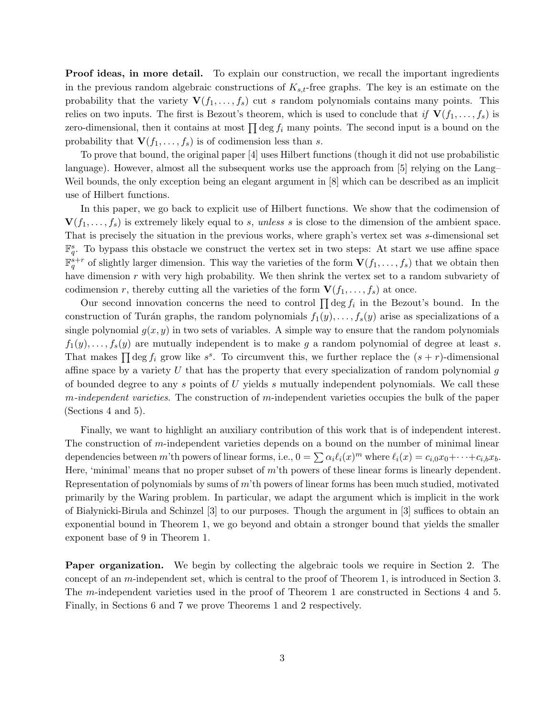Proof ideas, in more detail. To explain our construction, we recall the important ingredients in the previous random algebraic constructions of  $K_{s,t}$ -free graphs. The key is an estimate on the probability that the variety  $\mathbf{V}(f_1, \ldots, f_s)$  cut s random polynomials contains many points. This relies on two inputs. The first is Bezout's theorem, which is used to conclude that if  $\mathbf{V}(f_1, \ldots, f_s)$  is zero-dimensional, then it contains at most  $\prod \deg f_i$  many points. The second input is a bound on the probability that  $\mathbf{V}(f_1, \ldots, f_s)$  is of codimension less than s.

To prove that bound, the original paper [\[4\]](#page-16-5) uses Hilbert functions (though it did not use probabilistic language). However, almost all the subsequent works use the approach from [\[5\]](#page-16-11) relying on the Lang– Weil bounds, the only exception being an elegant argument in [\[8\]](#page-16-10) which can be described as an implicit use of Hilbert functions.

In this paper, we go back to explicit use of Hilbert functions. We show that the codimension of  $\mathbf{V}(f_1,\ldots,f_s)$  is extremely likely equal to s, unless s is close to the dimension of the ambient space. That is precisely the situation in the previous works, where graph's vertex set was s-dimensional set  $\mathbb{F}_q^s$ . To bypass this obstacle we construct the vertex set in two steps: At start we use affine space  $\mathbb{F}_q^{s+r}$  of slightly larger dimension. This way the varieties of the form  $\mathbf{V}(f_1,\ldots,f_s)$  that we obtain then have dimension r with very high probability. We then shrink the vertex set to a random subvariety of codimension r, thereby cutting all the varieties of the form  $\mathbf{V}(f_1, \ldots, f_s)$  at once.

Our second innovation concerns the need to control  $\prod \deg f_i$  in the Bezout's bound. In the construction of Turán graphs, the random polynomials  $f_1(y), \ldots, f_s(y)$  arise as specializations of a single polynomial  $g(x, y)$  in two sets of variables. A simple way to ensure that the random polynomials  $f_1(y), \ldots, f_s(y)$  are mutually independent is to make g a random polynomial of degree at least s. That makes  $\prod \deg f_i$  grow like  $s^s$ . To circumvent this, we further replace the  $(s + r)$ -dimensional affine space by a variety  $U$  that has the property that every specialization of random polynomial  $q$ of bounded degree to any s points of U yields s mutually independent polynomials. We call these  $m$ -independent varieties. The construction of m-independent varieties occupies the bulk of the paper [\(Sections 4](#page-7-0) and [5\)](#page-9-0).

Finally, we want to highlight an auxiliary contribution of this work that is of independent interest. The construction of m-independent varieties depends on a bound on the number of minimal linear dependencies between m'th powers of linear forms, i.e.,  $0 = \sum \alpha_i \ell_i(x)^m$  where  $\ell_i(x) = c_{i,0}x_0 + \cdots + c_{i,b}x_b$ . Here, 'minimal' means that no proper subset of  $m<sup>'</sup>$ th powers of these linear forms is linearly dependent. Representation of polynomials by sums of m'th powers of linear forms has been much studied, motivated primarily by the Waring problem. In particular, we adapt the argument which is implicit in the work of Białynicki-Birula and Schinzel  $[3]$  to our purposes. Though the argument in  $[3]$  suffices to obtain an exponential bound in [Theorem 1,](#page-0-1) we go beyond and obtain a stronger bound that yields the smaller exponent base of 9 in [Theorem 1.](#page-0-1)

Paper organization. We begin by collecting the algebraic tools we require in [Section 2.](#page-3-0) The concept of an m-independent set, which is central to the proof of [Theorem 1,](#page-0-1) is introduced in [Section 3.](#page-5-0) The m-independent varieties used in the proof of [Theorem 1](#page-0-1) are constructed in [Sections 4](#page-7-0) and [5.](#page-9-0) Finally, in [Sections 6](#page-12-0) and [7](#page-14-0) we prove [Theorems 1](#page-0-1) and [2](#page-1-0) respectively.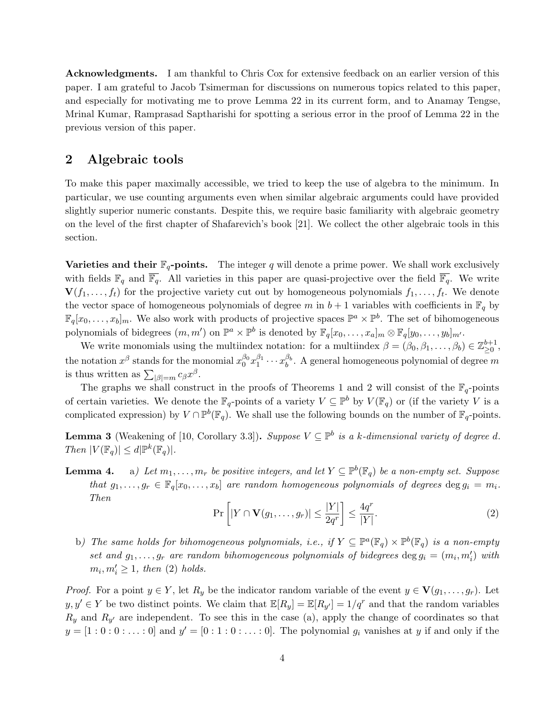Acknowledgments. I am thankful to Chris Cox for extensive feedback on an earlier version of this paper. I am grateful to Jacob Tsimerman for discussions on numerous topics related to this paper, and especially for motivating me to prove [Lemma 22](#page-11-0) in its current form, and to Anamay Tengse, Mrinal Kumar, Ramprasad Saptharishi for spotting a serious error in the proof of [Lemma 22](#page-11-0) in the previous version of this paper.

#### <span id="page-3-0"></span>2 Algebraic tools

To make this paper maximally accessible, we tried to keep the use of algebra to the minimum. In particular, we use counting arguments even when similar algebraic arguments could have provided slightly superior numeric constants. Despite this, we require basic familiarity with algebraic geometry on the level of the first chapter of Shafarevich's book [\[21\]](#page-17-8). We collect the other algebraic tools in this section.

**Varieties and their**  $\mathbb{F}_q$ **-points.** The integer q will denote a prime power. We shall work exclusively with fields  $\mathbb{F}_q$  and  $\overline{\mathbb{F}_q}$ . All varieties in this paper are quasi-projective over the field  $\overline{\mathbb{F}_q}$ . We write  $\mathbf{V}(f_1,\ldots,f_t)$  for the projective variety cut out by homogeneous polynomials  $f_1,\ldots,f_t$ . We denote the vector space of homogeneous polynomials of degree m in  $b + 1$  variables with coefficients in  $\mathbb{F}_q$  by  $\mathbb{F}_q[x_0,\ldots,x_b]_m$ . We also work with products of projective spaces  $\mathbb{P}^a \times \mathbb{P}^b$ . The set of bihomogeneous polynomials of bidegrees  $(m, m')$  on  $\mathbb{P}^a \times \mathbb{P}^b$  is denoted by  $\mathbb{F}_q[x_0, \ldots, x_a]_m \otimes \mathbb{F}_q[y_0, \ldots, y_b]_{m'}$ .

We write monomials using the multiindex notation: for a multiindex  $\beta = (\beta_0, \beta_1, \dots, \beta_b) \in \mathbb{Z}_{\geq 0}^{b+1}$ , the notation  $x^{\beta}$  stands for the monomial  $x_0^{\beta_0}x_1^{\beta_1}\cdots x_b^{\beta_b}$ . A general homogeneous polynomial of degree  $m$ is thus written as  $\sum_{|\beta|=m} c_{\beta} x^{\beta}$ .

The graphs we shall construct in the proofs of [Theorems 1](#page-0-1) and [2](#page-1-0) will consist of the  $\mathbb{F}_q$ -points of certain varieties. We denote the  $\mathbb{F}_q$ -points of a variety  $V \subseteq \mathbb{P}^b$  by  $V(\mathbb{F}_q)$  or (if the variety V is a complicated expression) by  $V \cap \mathbb{P}^b(\mathbb{F}_q)$ . We shall use the following bounds on the number of  $\mathbb{F}_q$ -points.

<span id="page-3-4"></span>**Lemma 3** (Weakening of [\[10,](#page-16-13) Corollary 3.3]). Suppose  $V \subseteq \mathbb{P}^b$  is a k-dimensional variety of degree d. Then  $|V(\mathbb{F}_q)| \le d |\mathbb{P}^k(\mathbb{F}_q)|$ .

<span id="page-3-2"></span>**Lemma 4.** a) Let  $m_1, \ldots, m_r$  be positive integers, and let  $Y \subseteq \mathbb{P}^b(\mathbb{F}_q)$  be a non-empty set. Suppose that  $g_1, \ldots, g_r \in \mathbb{F}_q[x_0, \ldots, x_b]$  are random homogeneous polynomials of degrees  $\deg g_i = m_i$ . Then

<span id="page-3-1"></span>
$$
\Pr\left[|Y \cap \mathbf{V}(g_1, \dots, g_r)| \le \frac{|Y|}{2q^r}\right] \le \frac{4q^r}{|Y|}.\tag{2}
$$

<span id="page-3-3"></span>b) The same holds for bihomogeneous polynomials, i.e., if  $Y \subseteq \mathbb{P}^a(\mathbb{F}_q) \times \mathbb{P}^b(\mathbb{F}_q)$  is a non-empty set and  $g_1, \ldots, g_r$  are random bihomogeneous polynomials of bidegrees  $\deg g_i = (m_i, m'_i)$  with  $m_i, m'_i \geq 1$ , then [\(2\)](#page-3-1) holds.

*Proof.* For a point  $y \in Y$ , let  $R_y$  be the indicator random variable of the event  $y \in V(g_1, \ldots, g_r)$ . Let  $y, y' \in Y$  be two distinct points. We claim that  $\mathbb{E}[R_y] = \mathbb{E}[R_{y'}] = 1/q^r$  and that the random variables  $R_y$  and  $R_{y'}$  are independent. To see this in the [case \(a\),](#page-3-2) apply the change of coordinates so that  $y = [1:0:0:\dots:0]$  and  $y' = [0:1:0:\dots:0]$ . The polynomial  $g_i$  vanishes at y if and only if the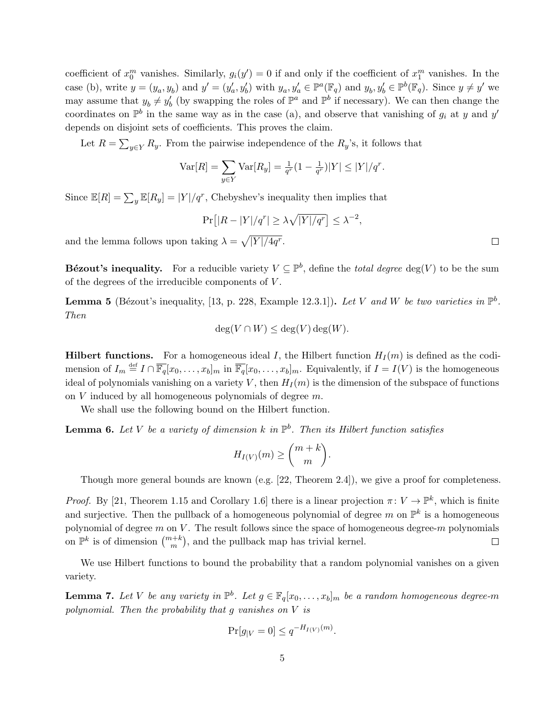coefficient of  $x_0^m$  vanishes. Similarly,  $g_i(y') = 0$  if and only if the coefficient of  $x_1^m$  vanishes. In the [case \(b\),](#page-3-3) write  $y = (y_a, y_b)$  and  $y' = (y'_a, y'_b)$  with  $y_a, y'_a \in \mathbb{P}^a(\mathbb{F}_q)$  and  $y_b, y'_b \in \mathbb{P}^b(\mathbb{F}_q)$ . Since  $y \neq y'$  we may assume that  $y_b \neq y'_b$  (by swapping the roles of  $\mathbb{P}^a$  and  $\mathbb{P}^b$  if necessary). We can then change the coordinates on  $\mathbb{P}^b$  in the same way as in the [case \(a\),](#page-3-2) and observe that vanishing of  $g_i$  at y and y' depends on disjoint sets of coefficients. This proves the claim.

Let  $R = \sum_{y \in Y} R_y$ . From the pairwise independence of the  $R_y$ 's, it follows that

$$
\text{Var}[R] = \sum_{y \in Y} \text{Var}[R_y] = \frac{1}{q^r} (1 - \frac{1}{q^r}) |Y| \le |Y| / q^r.
$$

Since  $\mathbb{E}[R] = \sum_{y} \mathbb{E}[R_{y}] = |Y|/q^{r}$ , Chebyshev's inequality then implies that

$$
\Pr\left[|R - |Y|/q^r| \ge \lambda \sqrt{|Y|/q^r}\right] \le \lambda^{-2},
$$

and the lemma follows upon taking  $\lambda = \sqrt{\frac{Y}{4q^r}}$ .

**Bézout's inequality.** For a reducible variety  $V \subseteq \mathbb{P}^b$ , define the *total degree* deg(V) to be the sum of the degrees of the irreducible components of V .

**Lemma 5** (Bézout's inequality, [\[13,](#page-16-14) p. 228, Example 12.3.1]). Let V and W be two varieties in  $\mathbb{P}^b$ . Then

$$
\deg(V \cap W) \le \deg(V) \deg(W).
$$

**Hilbert functions.** For a homogeneous ideal I, the Hilbert function  $H_I(m)$  is defined as the codimension of  $I_m \stackrel{\text{def}}{=} I \cap \overline{\mathbb{F}_q}[x_0, \ldots, x_b]_m$  in  $\overline{\mathbb{F}_q}[x_0, \ldots, x_b]_m$ . Equivalently, if  $I = I(V)$  is the homogeneous ideal of polynomials vanishing on a variety V, then  $H_I(m)$  is the dimension of the subspace of functions on V induced by all homogeneous polynomials of degree m.

We shall use the following bound on the Hilbert function.

<span id="page-4-0"></span>**Lemma 6.** Let V be a variety of dimension k in  $\mathbb{P}^b$ . Then its Hilbert function satisfies

$$
H_{I(V)}(m) \geq {m+k \choose m}.
$$

Though more general bounds are known (e.g. [\[22,](#page-17-9) Theorem 2.4]), we give a proof for completeness.

*Proof.* By [\[21,](#page-17-8) Theorem 1.15 and Corollary 1.6] there is a linear projection  $\pi: V \to \mathbb{P}^k$ , which is finite and surjective. Then the pullback of a homogeneous polynomial of degree m on  $\mathbb{P}^k$  is a homogeneous polynomial of degree  $m$  on  $V$ . The result follows since the space of homogeneous degree- $m$  polynomials on  $\mathbb{P}^k$  is of dimension  $\binom{m+k}{m}$ , and the pullback map has trivial kernel.  $\Box$ 

We use Hilbert functions to bound the probability that a random polynomial vanishes on a given variety.

<span id="page-4-1"></span>**Lemma 7.** Let V be any variety in  $\mathbb{P}^b$ . Let  $g \in \mathbb{F}_q[x_0,\ldots,x_b]_m$  be a random homogeneous degree-m polynomial. Then the probability that g vanishes on V is

$$
\Pr[g_{|V} = 0] \le q^{-H_{I(V)}(m)}
$$

.

5

 $\Box$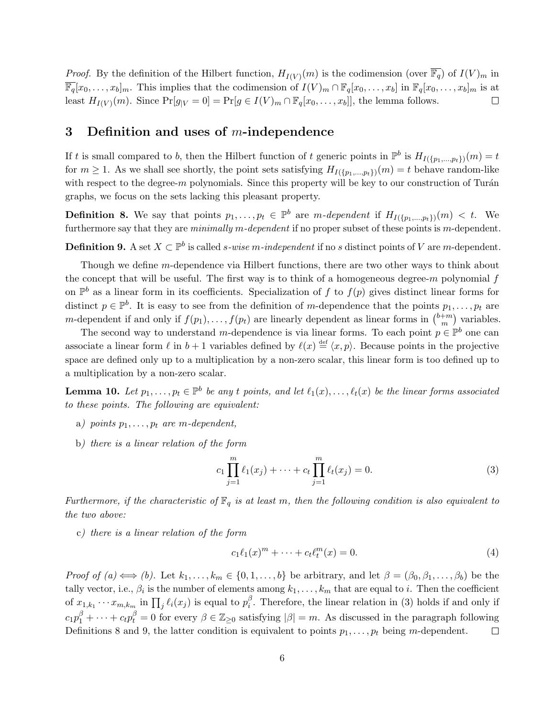*Proof.* By the definition of the Hilbert function,  $H_{I(V)}(m)$  is the codimension (over  $\overline{\mathbb{F}_q}$ ) of  $I(V)_m$  in  $\overline{\mathbb{F}_q}[x_0,\ldots,x_b]_m$ . This implies that the codimension of  $I(V)_m \cap \mathbb{F}_q[x_0,\ldots,x_b]$  in  $\mathbb{F}_q[x_0,\ldots,x_b]_m$  is at least  $H_{I(V)}(m)$ . Since  $Pr[g|_V = 0] = Pr[g \in I(V)_m \cap \mathbb{F}_q[x_0, \ldots, x_b]]$ , the lemma follows.  $\Box$ 

### <span id="page-5-0"></span>3 Definition and uses of  $m$ -independence

If t is small compared to b, then the Hilbert function of t generic points in  $\mathbb{P}^b$  is  $H_{I(\{p_1,...,p_t\})}(m) = t$ for  $m \geq 1$ . As we shall see shortly, the point sets satisfying  $H_{I(\{p_1,\ldots,p_t\})}(m) = t$  behave random-like with respect to the degree-m polynomials. Since this property will be key to our construction of Turán graphs, we focus on the sets lacking this pleasant property.

<span id="page-5-2"></span>**Definition 8.** We say that points  $p_1, \ldots, p_t \in \mathbb{P}^b$  are m-dependent if  $H_{I(\{p_1,\ldots,p_t\})}(m) < t$ . We furthermore say that they are minimally m-dependent if no proper subset of these points is m-dependent.

<span id="page-5-3"></span>**Definition 9.** A set  $X \subset \mathbb{P}^b$  is called *s-wise m-independent* if no *s* distinct points of V are *m*-dependent.

Though we define m-dependence via Hilbert functions, there are two other ways to think about the concept that will be useful. The first way is to think of a homogeneous degree- $m$  polynomial  $f$ on  $\mathbb{P}^b$  as a linear form in its coefficients. Specialization of f to  $f(p)$  gives distinct linear forms for distinct  $p \in \mathbb{P}^b$ . It is easy to see from the definition of m-dependence that the points  $p_1, \ldots, p_t$  are m-dependent if and only if  $f(p_1), \ldots, f(p_t)$  are linearly dependent as linear forms in  $\binom{b+m}{m}$  $\binom{+m}{m}$  variables.

The second way to understand m-dependence is via linear forms. To each point  $p \in \mathbb{P}^b$  one can associate a linear form  $\ell$  in  $b + 1$  variables defined by  $\ell(x) \stackrel{\text{def}}{=} \langle x, p \rangle$ . Because points in the projective space are defined only up to a multiplication by a non-zero scalar, this linear form is too defined up to a multiplication by a non-zero scalar.

<span id="page-5-5"></span>**Lemma 10.** Let  $p_1, \ldots, p_t \in \mathbb{P}^b$  be any t points, and let  $\ell_1(x), \ldots, \ell_t(x)$  be the linear forms associated to these points. The following are equivalent:

- a) points  $p_1, \ldots, p_t$  are m-dependent,
- b) there is a linear relation of the form

<span id="page-5-1"></span>
$$
c_1 \prod_{j=1}^{m} \ell_1(x_j) + \dots + c_t \prod_{j=1}^{m} \ell_t(x_j) = 0.
$$
 (3)

Furthermore, if the characteristic of  $\mathbb{F}_q$  is at least m, then the following condition is also equivalent to the two above:

c) there is a linear relation of the form

<span id="page-5-4"></span>
$$
c_1 \ell_1(x)^m + \dots + c_t \ell_t^m(x) = 0.
$$
 (4)

Proof of  $(a) \iff (b)$ . Let  $k_1, \ldots, k_m \in \{0, 1, \ldots, b\}$  be arbitrary, and let  $\beta = (\beta_0, \beta_1, \ldots, \beta_b)$  be the tally vector, i.e.,  $\beta_i$  is the number of elements among  $k_1, \ldots, k_m$  that are equal to i. Then the coefficient of  $x_{1,k_1}\cdots x_{m,k_m}$  in  $\prod_j \ell_i(x_j)$  is equal to  $p_i^{\beta}$  $i<sup>6</sup>$ . Therefore, the linear relation in [\(3\)](#page-5-1) holds if and only if  $c_1p_1^{\beta} + \cdots + c_t p_t^{\beta} = 0$  for every  $\beta \in \mathbb{Z}_{\geq 0}$  satisfying  $|\beta| = m$ . As discussed in the paragraph following [Definitions 8](#page-5-2) and [9,](#page-5-3) the latter condition is equivalent to points  $p_1, \ldots, p_t$  being m-dependent.  $\Box$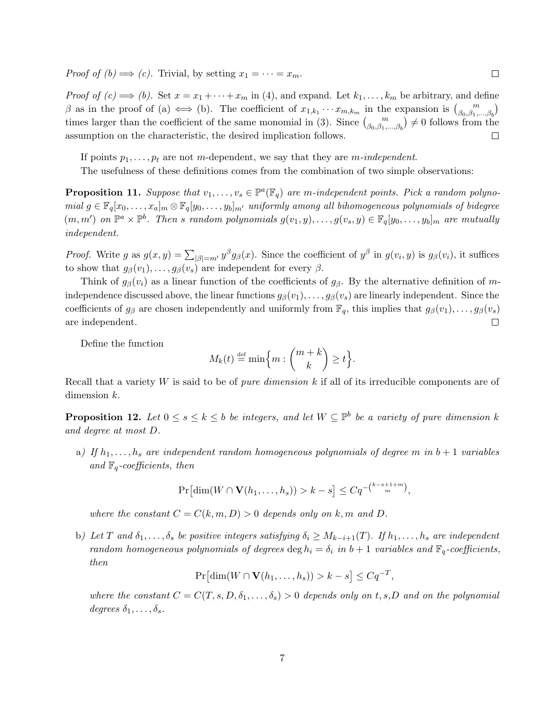*Proof of (b)*  $\implies$  (c). Trivial, by setting  $x_1 = \cdots = x_m$ .

*Proof of (c)*  $\implies$  (b). Set  $x = x_1 + \cdots + x_m$  in [\(4\)](#page-5-4), and expand. Let  $k_1, \ldots, k_m$  be arbitrary, and define  $\beta$  as in the proof of (a)  $\iff$  (b). The coefficient of  $x_{1,k_1}\cdots x_{m,k_m}$  in the expansion is  $\binom{m}{\beta_0,\beta_1,\dots,\beta_b}$ times larger than the coefficient of the same monomial in [\(3\)](#page-5-1). Since  $\binom{m}{\beta_0,\beta_1,\dots,\beta_b}\neq 0$  follows from the assumption on the characteristic, the desired implication follows.  $\Box$ 

 $\Box$ 

If points  $p_1, \ldots, p_t$  are not m-dependent, we say that they are m-independent.

The usefulness of these definitions comes from the combination of two simple observations:

<span id="page-6-2"></span>**Proposition 11.** Suppose that  $v_1, \ldots, v_s \in \mathbb{P}^a(\mathbb{F}_q)$  are m-independent points. Pick a random polynomial  $g \in \mathbb{F}_q[x_0,\ldots,x_a]_m \otimes \mathbb{F}_q[y_0,\ldots,y_b]_{m'}$  uniformly among all bihomogeneous polynomials of bidegree  $(m, m')$  on  $\mathbb{P}^a \times \mathbb{P}^b$ . Then s random polynomials  $g(v_1, y), \ldots, g(v_s, y) \in \mathbb{F}_q[y_0, \ldots, y_b]_m$  are mutually independent.

*Proof.* Write g as  $g(x, y) = \sum_{|\beta|=m'} y^{\beta} g_{\beta}(x)$ . Since the coefficient of  $y^{\beta}$  in  $g(v_i, y)$  is  $g_{\beta}(v_i)$ , it suffices to show that  $g_{\beta}(v_1), \ldots, g_{\beta}(v_s)$  are independent for every  $\beta$ .

Think of  $g_{\beta}(v_i)$  as a linear function of the coefficients of  $g_{\beta}$ . By the alternative definition of mindependence discussed above, the linear functions  $g_{\beta}(v_1), \ldots, g_{\beta}(v_s)$  are linearly independent. Since the coefficients of  $g_\beta$  are chosen independently and uniformly from  $\mathbb{F}_q$ , this implies that  $g_\beta(v_1), \ldots, g_\beta(v_s)$ are independent.  $\Box$ 

Define the function

$$
M_k(t) \stackrel{\text{def}}{=} \min\left\{m : \binom{m+k}{k} \ge t\right\}.
$$

Recall that a variety W is said to be of *pure dimension*  $k$  if all of its irreducible components are of dimension k.

**Proposition 12.** Let  $0 \le s \le k \le b$  be integers, and let  $W \subseteq \mathbb{P}^b$  be a variety of pure dimension k and degree at most D.

<span id="page-6-0"></span>a) If  $h_1, \ldots, h_s$  are independent random homogeneous polynomials of degree m in  $b+1$  variables and  $\mathbb{F}_q$ -coefficients, then

$$
\Pr\left[\dim(W \cap \mathbf{V}(h_1,\ldots,h_s)) > k - s\right] \leq Cq^{-\binom{k-s+1+m}{m}},
$$

where the constant  $C = C(k, m, D) > 0$  depends only on k, m and D.

<span id="page-6-1"></span>b) Let T and  $\delta_1, \ldots, \delta_s$  be positive integers satisfying  $\delta_i \geq M_{k-i+1}(T)$ . If  $h_1, \ldots, h_s$  are independent random homogeneous polynomials of degrees deg  $h_i = \delta_i$  in  $b + 1$  variables and  $\mathbb{F}_q$ -coefficients, then

$$
\Pr[\dim(W \cap \mathbf{V}(h_1,\ldots,h_s)) > k - s] \leq Cq^{-T},
$$

where the constant  $C = C(T, s, D, \delta_1, \ldots, \delta_s) > 0$  depends only on t, s, D and on the polynomial degrees  $\delta_1, \ldots, \delta_s$ .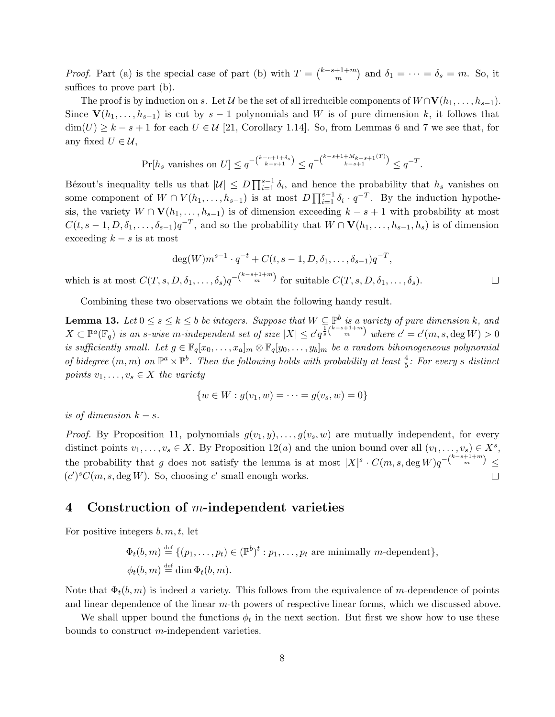*Proof.* [Part \(a\)](#page-6-0) is the special case of [part \(b\)](#page-6-1) with  $T = \binom{k-s+1+m}{m}$  $\binom{m+1+m}{m}$  and  $\delta_1 = \cdots = \delta_s = m$ . So, it suffices to prove [part \(b\).](#page-6-1)

The proof is by induction on s. Let  $\mathcal U$  be the set of all irreducible components of  $W \cap \mathbf{V}(h_1, \ldots, h_{s-1})$ . Since  $\mathbf{V}(h_1,\ldots,h_{s-1})$  is cut by  $s-1$  polynomials and W is of pure dimension k, it follows that  $\dim(U) \geq k - s + 1$  for each  $U \in \mathcal{U}$  [\[21,](#page-17-8) Corollary 1.14]. So, from [Lemmas 6](#page-4-0) and [7](#page-4-1) we see that, for any fixed  $U \in \mathcal{U}$ ,

$$
\Pr[h_s \text{ vanishes on } U] \le q^{-\binom{k-s+1+\delta_s}{k-s+1}} \le q^{-\binom{k-s+1+M_{k-s+1}(T)}{k-s+1}} \le q^{-T}.
$$

Bézout's inequality tells us that  $|U| \leq D \prod_{i=1}^{s-1} \delta_i$ , and hence the probability that  $h_s$  vanishes on some component of  $W \cap V(h_1,\ldots,h_{s-1})$  is at most  $D\prod_{i=1}^{s-1} \delta_i \cdot q^{-T}$ . By the induction hypothesis, the variety  $W \cap V(h_1, \ldots, h_{s-1})$  is of dimension exceeding  $k - s + 1$  with probability at most  $C(t, s-1, D, \delta_1, \ldots, \delta_{s-1})q^{-T}$ , and so the probability that  $W \cap \mathbf{V}(h_1, \ldots, h_{s-1}, h_s)$  is of dimension exceeding  $k - s$  is at most

$$
\deg(W)m^{s-1} \cdot q^{-t} + C(t, s-1, D, \delta_1, \dots, \delta_{s-1})q^{-T},
$$
  
which is at most  $C(T, s, D, \delta_1, \dots, \delta_s)q^{-\binom{k-s+1+m}{m}}$  for suitable  $C(T, s, D, \delta_1, \dots, \delta_s)$ .

Combining these two observations we obtain the following handy result.

<span id="page-7-2"></span>**Lemma 13.** Let  $0 \le s \le k \le b$  be integers. Suppose that  $W \subseteq \mathbb{P}^b$  is a variety of pure dimension k, and  $X \subset \mathbb{P}^a(\mathbb{F}_q)$  is an s-wise m-independent set of size  $|X| \leq c' q^{\frac{1}{s} \binom{k-s+1+m}{m}}$  where  $c' = c'(m, s, \deg W) > 0$ is sufficiently small. Let  $g \in \mathbb{F}_q[x_0,\ldots,x_a]_m \otimes \mathbb{F}_q[y_0,\ldots,y_b]_m$  be a random bihomogeneous polynomial of bidegree  $(m, m)$  on  $\mathbb{P}^a \times \mathbb{P}^b$ . Then the following holds with probability at least  $\frac{4}{5}$ : For every s distinct points  $v_1, \ldots, v_s \in X$  the variety

$$
\{w \in W : g(v_1, w) = \dots = g(v_s, w) = 0\}
$$

is of dimension  $k - s$ .

*Proof.* By [Proposition 11,](#page-6-2) polynomials  $g(v_1, y), \ldots, g(v_s, w)$  are mutually independent, for every distinct points  $v_1, \ldots, v_s \in X$ . By [Proposition 12\(](#page-6-0)*a*) and the union bound over all  $(v_1, \ldots, v_s) \in X^s$ , the probability that g does not satisfy the lemma is at most  $|X|^s \cdot C(m,s,\deg W)q^{-\binom{k-s+1+m}{m}} \leq$  $(c')^{s}C(m, s, \text{deg }W)$ . So, choosing c' small enough works.  $\Box$ 

### <span id="page-7-0"></span>4 Construction of m-independent varieties

For positive integers  $b, m, t$ , let

 $\Phi_t(b,m) \stackrel{\text{def}}{=} \{ (p_1,\ldots,p_t) \in (\mathbb{P}^b)^t : p_1,\ldots,p_t \text{ are minimally } m\text{-dependent} \},\$  $\phi_t(b,m) \stackrel{\text{def}}{=} \dim \Phi_t(b,m).$ 

Note that  $\Phi_t(b, m)$  is indeed a variety. This follows from the equivalence of m-dependence of points and linear dependence of the linear m-th powers of respective linear forms, which we discussed above.

<span id="page-7-1"></span>We shall upper bound the functions  $\phi_t$  in the next section. But first we show how to use these bounds to construct m-independent varieties.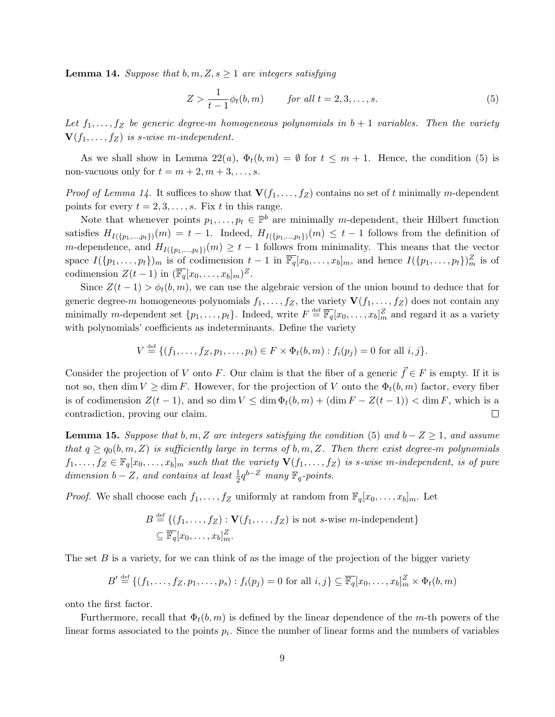**Lemma 14.** Suppose that b, m,  $Z, s \geq 1$  are integers satisfying

<span id="page-8-0"></span>
$$
Z > \frac{1}{t-1}\phi_t(b, m) \qquad \text{for all } t = 2, 3, \dots, s. \tag{5}
$$

Let  $f_1, \ldots, f_Z$  be generic degree-m homogeneous polynomials in  $b+1$  variables. Then the variety  $\mathbf{V}(f_1,\ldots,f_Z)$  is s-wise m-independent.

As we shall show in [Lemma 22\(](#page-12-1)a),  $\Phi_t(b,m) = \emptyset$  for  $t \leq m+1$ . Hence, the condition [\(5\)](#page-8-0) is non-vacuous only for  $t = m + 2, m + 3, \ldots, s$ .

*Proof of [Lemma 14.](#page-7-1)* It suffices to show that  $\mathbf{V}(f_1, \ldots, f_Z)$  contains no set of t minimally m-dependent points for every  $t = 2, 3, \ldots, s$ . Fix t in this range.

Note that whenever points  $p_1, \ldots, p_t \in \mathbb{P}^b$  are minimally m-dependent, their Hilbert function satisfies  $H_{I(\{p_1,\ldots,p_t\})}(m) = t-1$ . Indeed,  $H_{I(\{p_1,\ldots,p_t\})}(m) \leq t-1$  follows from the definition of m-dependence, and  $H_{I(\{p_1,\ldots,p_t\})}(m) \geq t-1$  follows from minimality. This means that the vector space  $I(\{p_1,\ldots,p_t\})_m$  is of codimension  $t-1$  in  $\overline{\mathbb{F}_q}[x_0,\ldots,x_b]_m$ , and hence  $I(\{p_1,\ldots,p_t\})_m^Z$  is of codimension  $Z(t-1)$  in  $(\overline{\mathbb{F}_q}[x_0,\ldots,x_b]_m)^Z$ .

Since  $Z(t-1) > \phi_t(b,m)$ , we can use the algebraic version of the union bound to deduce that for generic degree-m homogeneous polynomials  $f_1, \ldots, f_Z$ , the variety  $\mathbf{V}(f_1, \ldots, f_Z)$  does not contain any minimally m-dependent set  $\{p_1, \ldots, p_t\}$ . Indeed, write  $F \stackrel{\text{def}}{=} \overline{\mathbb{F}_q}[x_0, \ldots, x_b]_m^Z$  and regard it as a variety with polynomials' coefficients as indeterminants. Define the variety

$$
V \stackrel{\text{def}}{=} \{ (f_1, \ldots, f_Z, p_1, \ldots, p_t) \in F \times \Phi_t(b, m) : f_i(p_j) = 0 \text{ for all } i, j \}.
$$

Consider the projection of V onto F. Our claim is that the fiber of a generic  $\vec{f} \in F$  is empty. If it is not so, then dim  $V \geq \dim F$ . However, for the projection of V onto the  $\Phi_t(b,m)$  factor, every fiber is of codimension  $Z(t-1)$ , and so dim  $V \leq \dim \Phi_t(b,m) + (\dim F - Z(t-1)) < \dim F$ , which is a contradiction, proving our claim.  $\Box$ 

<span id="page-8-1"></span>**Lemma 15.** Suppose that b, m, Z are integers satisfying the condition [\(5\)](#page-8-0) and  $b - Z \ge 1$ , and assume that  $q \geq q_0(b, m, Z)$  is sufficiently large in terms of b, m, Z. Then there exist degree-m polynomials  $f_1, \ldots, f_Z \in \mathbb{F}_q[x_0, \ldots, x_b]_m$  such that the variety  $\mathbf{V}(f_1, \ldots, f_Z)$  is s-wise m-independent, is of pure dimension  $b - Z$ , and contains at least  $\frac{1}{2}q^{b-Z}$  many  $\mathbb{F}_q$ -points.

*Proof.* We shall choose each  $f_1, \ldots, f_Z$  uniformly at random from  $\mathbb{F}_q[x_0, \ldots, x_b]_m$ . Let

$$
B \stackrel{\text{def}}{=} \{ (f_1, \ldots, f_Z) : \mathbf{V}(f_1, \ldots, f_Z) \text{ is not } s\text{-wise } m\text{-independent} \}
$$
  

$$
\subseteq \overline{\mathbb{F}_q}[x_0, \ldots, x_b]_m^Z.
$$

The set  $B$  is a variety, for we can think of as the image of the projection of the bigger variety

$$
B' \stackrel{\text{def}}{=} \{(f_1, \ldots, f_Z, p_1, \ldots, p_s) : f_i(p_j) = 0 \text{ for all } i, j\} \subseteq \overline{\mathbb{F}_q}[x_0, \ldots, x_b]_m^Z \times \Phi_t(b, m)
$$

onto the first factor.

Furthermore, recall that  $\Phi_t(b, m)$  is defined by the linear dependence of the m-th powers of the linear forms associated to the points  $p_i$ . Since the number of linear forms and the numbers of variables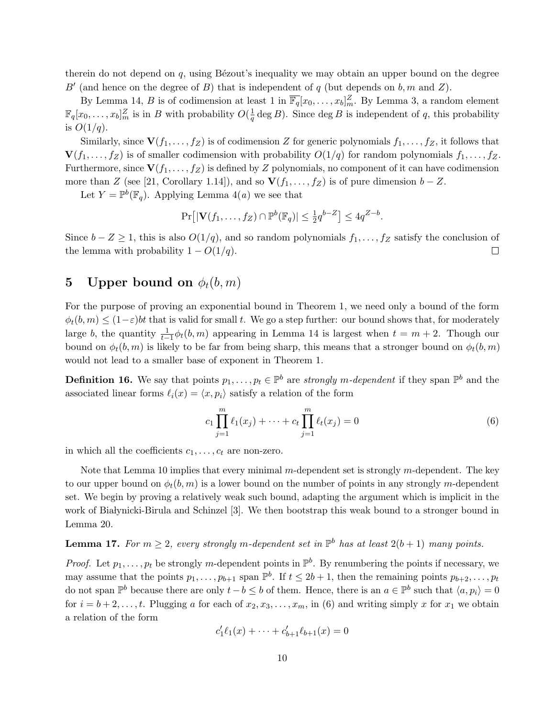therein do not depend on  $q$ , using Bézout's inequality we may obtain an upper bound on the degree B' (and hence on the degree of B) that is independent of q (but depends on  $b, m$  and Z).

By [Lemma 14,](#page-7-1) B is of codimension at least 1 in  $\overline{\mathbb{F}_q}[x_0,\ldots,x_b]_m^Z$ . By [Lemma 3,](#page-3-4) a random element  $\mathbb{F}_q[x_0,\ldots,x_b]_m^Z$  is in B with probability  $O(\frac{1}{q})$  $\frac{1}{q}$  deg B). Since deg B is independent of q, this probability is  $O(1/q)$ .

Similarly, since  $\mathbf{V}(f_1, \ldots, f_Z)$  is of codimension Z for generic polynomials  $f_1, \ldots, f_Z$ , it follows that  $\mathbf{V}(f_1,\ldots,f_Z)$  is of smaller codimension with probability  $O(1/q)$  for random polynomials  $f_1,\ldots,f_Z$ . Furthermore, since  $\mathbf{V}(f_1,\ldots,f_Z)$  is defined by Z polynomials, no component of it can have codimension more than Z (see [\[21,](#page-17-8) Corollary 1.14]), and so  $\mathbf{V}(f_1, \ldots, f_Z)$  is of pure dimension  $b - Z$ .

Let  $Y = \mathbb{P}^b(\mathbb{F}_q)$ . Applying Lemma  $4(a)$  we see that

$$
\Pr[|\mathbf{V}(f_1,\ldots,f_Z)\cap \mathbb{P}^b(\mathbb{F}_q)|\leq \frac{1}{2}q^{b-Z}]\leq 4q^{Z-b}.
$$

Since  $b - Z \geq 1$ , this is also  $O(1/q)$ , and so random polynomials  $f_1, \ldots, f_Z$  satisfy the conclusion of the lemma with probability  $1 - O(1/q)$ .  $\Box$ 

# <span id="page-9-0"></span>5 Upper bound on  $\phi_t(b,m)$

For the purpose of proving an exponential bound in [Theorem 1,](#page-0-1) we need only a bound of the form  $\phi_t(b,m) \leq (1-\varepsilon)bt$  that is valid for small t. We go a step further: our bound shows that, for moderately large b, the quantity  $\frac{1}{t-1}\phi_t(b,m)$  appearing in [Lemma 14](#page-7-1) is largest when  $t = m + 2$ . Though our bound on  $\phi_t(b,m)$  is likely to be far from being sharp, this means that a stronger bound on  $\phi_t(b,m)$ would not lead to a smaller base of exponent in [Theorem 1.](#page-0-1)

**Definition 16.** We say that points  $p_1, \ldots, p_t \in \mathbb{P}^b$  are *strongly m-dependent* if they span  $\mathbb{P}^b$  and the associated linear forms  $\ell_i(x) = \langle x, p_i \rangle$  satisfy a relation of the form

<span id="page-9-1"></span>
$$
c_1 \prod_{j=1}^{m} \ell_1(x_j) + \dots + c_t \prod_{j=1}^{m} \ell_t(x_j) = 0
$$
\n(6)

in which all the coefficients  $c_1, \ldots, c_t$  are non-zero.

Note that [Lemma 10](#page-5-5) implies that every minimal  $m$ -dependent set is strongly  $m$ -dependent. The key to our upper bound on  $\phi_t(b, m)$  is a lower bound on the number of points in any strongly m-dependent set. We begin by proving a relatively weak such bound, adapting the argument which is implicit in the work of Białynicki-Birula and Schinzel [\[3\]](#page-16-12). We then bootstrap this weak bound to a stronger bound in [Lemma 20.](#page-10-0)

# <span id="page-9-2"></span>**Lemma 17.** For  $m \geq 2$ , every strongly m-dependent set in  $\mathbb{P}^b$  has at least  $2(b+1)$  many points.

*Proof.* Let  $p_1, \ldots, p_t$  be strongly m-dependent points in  $\mathbb{P}^b$ . By renumbering the points if necessary, we may assume that the points  $p_1, \ldots, p_{b+1}$  span  $\mathbb{P}^b$ . If  $t \leq 2b+1$ , then the remaining points  $p_{b+2}, \ldots, p_t$ do not span  $\mathbb{P}^b$  because there are only  $t-b \leq b$  of them. Hence, there is an  $a \in \mathbb{P}^b$  such that  $\langle a, p_i \rangle = 0$ for  $i = b + 2, \ldots, t$ . Plugging a for each of  $x_2, x_3, \ldots, x_m$ , in [\(6\)](#page-9-1) and writing simply x for  $x_1$  we obtain a relation of the form

$$
c'_1 \ell_1(x) + \dots + c'_{b+1} \ell_{b+1}(x) = 0
$$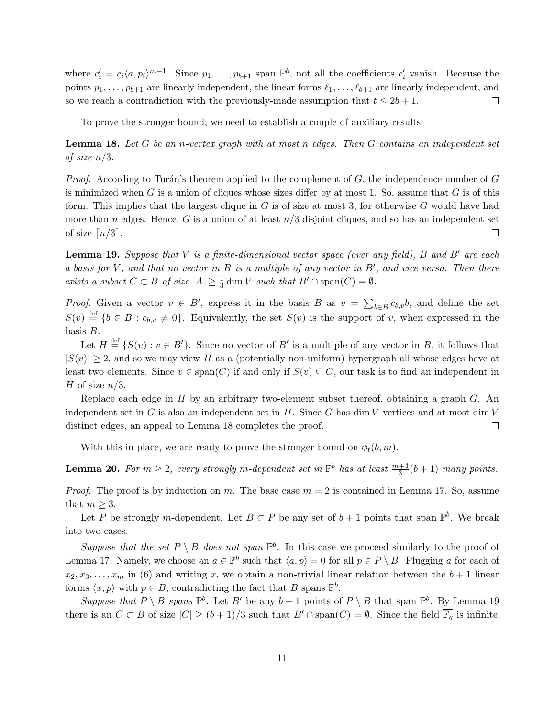where  $c_i' = c_i \langle a, p_i \rangle^{m-1}$ . Since  $p_1, \ldots, p_{b+1}$  span  $\mathbb{P}^b$ , not all the coefficients  $c_i'$  vanish. Because the points  $p_1, \ldots, p_{b+1}$  are linearly independent, the linear forms  $\ell_1, \ldots, \ell_{b+1}$  are linearly independent, and so we reach a contradiction with the previously-made assumption that  $t \leq 2b + 1$ .  $\Box$ 

To prove the stronger bound, we need to establish a couple of auxiliary results.

<span id="page-10-1"></span>**Lemma 18.** Let G be an n-vertex graph with at most n edges. Then  $G$  contains an independent set of size  $n/3$ .

*Proof.* According to Turán's theorem applied to the complement of  $G$ , the independence number of  $G$ is minimized when  $G$  is a union of cliques whose sizes differ by at most 1. So, assume that  $G$  is of this form. This implies that the largest clique in  $G$  is of size at most 3, for otherwise  $G$  would have had more than n edges. Hence, G is a union of at least  $n/3$  disjoint cliques, and so has an independent set of size  $\lceil n/3 \rceil$ .  $\Box$ 

<span id="page-10-2"></span>**Lemma 19.** Suppose that V is a finite-dimensional vector space (over any field), B and B' are each a basis for  $V$ , and that no vector in  $B$  is a multiple of any vector in  $B'$ , and vice versa. Then there exists a subset  $C \subset B$  of size  $|A| \geq \frac{1}{3}$  dim V such that  $B' \cap \text{span}(C) = \emptyset$ .

*Proof.* Given a vector  $v \in B'$ , express it in the basis B as  $v = \sum_{b \in B} c_{b,v} b$ , and define the set  $S(v) \stackrel{\text{def}}{=} \{b \in B : c_{b,v} \neq 0\}.$  Equivalently, the set  $S(v)$  is the support of v, when expressed in the basis B.

Let  $H \stackrel{\text{def}}{=} \{S(v) : v \in B'\}$ . Since no vector of B' is a multiple of any vector in B, it follows that  $|S(v)| \geq 2$ , and so we may view H as a (potentially non-uniform) hypergraph all whose edges have at least two elements. Since  $v \in \text{span}(C)$  if and only if  $S(v) \subseteq C$ , our task is to find an independent in H of size  $n/3$ .

Replace each edge in H by an arbitrary two-element subset thereof, obtaining a graph G. An independent set in  $G$  is also an independent set in  $H$ . Since  $G$  has dim  $V$  vertices and at most dim  $V$ distinct edges, an appeal to [Lemma 18](#page-10-1) completes the proof.  $\Box$ 

With this in place, we are ready to prove the stronger bound on  $\phi_t(b, m)$ .

<span id="page-10-0"></span>**Lemma 20.** For  $m \geq 2$ , every strongly m-dependent set in  $\mathbb{P}^b$  has at least  $\frac{m+4}{3}(b+1)$  many points.

*Proof.* The proof is by induction on m. The base case  $m = 2$  is contained in [Lemma 17.](#page-9-2) So, assume that  $m \geq 3$ .

Let P be strongly m-dependent. Let  $B \subset P$  be any set of  $b+1$  points that span  $\mathbb{P}^b$ . We break into two cases.

Suppose that the set  $P \setminus B$  does not span  $\mathbb{P}^b$ . In this case we proceed similarly to the proof of [Lemma 17.](#page-9-2) Namely, we choose an  $a \in \mathbb{P}^b$  such that  $\langle a, p \rangle = 0$  for all  $p \in P \setminus B$ . Plugging a for each of  $x_2, x_3, \ldots, x_m$  in [\(6\)](#page-9-1) and writing x, we obtain a non-trivial linear relation between the  $b+1$  linear forms  $\langle x, p \rangle$  with  $p \in B$ , contradicting the fact that B spans  $\mathbb{P}^b$ .

Suppose that  $P \setminus B$  spans  $\mathbb{P}^b$ . Let B' be any  $b+1$  points of  $P \setminus B$  that span  $\mathbb{P}^b$ . By [Lemma 19](#page-10-2) there is an  $C \subset B$  of size  $|C| \ge (b+1)/3$  such that  $B' \cap \text{span}(C) = \emptyset$ . Since the field  $\overline{\mathbb{F}_q}$  is infinite,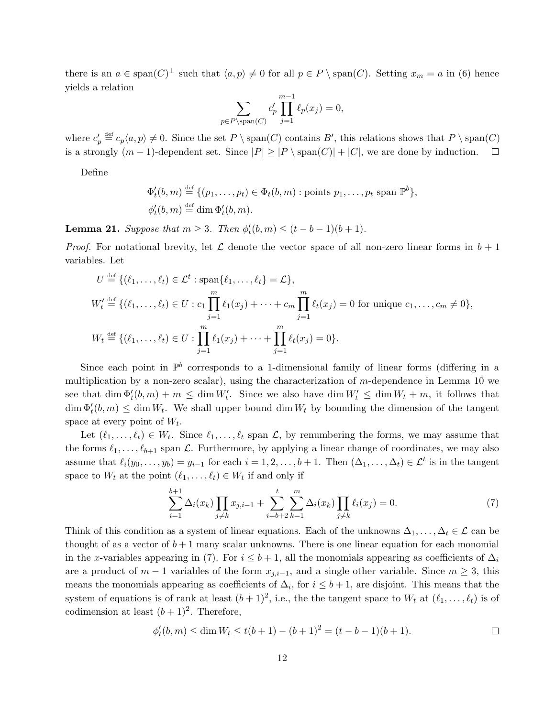there is an  $a \in \text{span}(C)^{\perp}$  such that  $\langle a, p \rangle \neq 0$  for all  $p \in P \setminus \text{span}(C)$ . Setting  $x_m = a$  in [\(6\)](#page-9-1) hence yields a relation

$$
\sum_{p \in P \setminus \text{span}(C)} c'_p \prod_{j=1}^{m-1} \ell_p(x_j) = 0,
$$

where  $c'_p \stackrel{\text{def}}{=} c_p \langle a, p \rangle \neq 0$ . Since the set  $P \setminus \text{span}(C)$  contains  $B'$ , this relations shows that  $P \setminus \text{span}(C)$ is a strongly  $(m-1)$ -dependent set. Since  $|P| \ge |P \setminus \text{span}(C)| + |C|$ , we are done by induction.  $\Box$ 

Define

$$
\Phi'_t(b,m) \stackrel{\text{def}}{=} \{ (p_1,\ldots,p_t) \in \Phi_t(b,m) : \text{points } p_1,\ldots,p_t \text{ span } \mathbb{P}^b \},
$$
  

$$
\phi'_t(b,m) \stackrel{\text{def}}{=} \dim \Phi'_t(b,m).
$$

<span id="page-11-2"></span>**Lemma 21.** Suppose that  $m \geq 3$ . Then  $\phi'_t(b, m) \leq (t - b - 1)(b + 1)$ .

*Proof.* For notational brevity, let  $\mathcal L$  denote the vector space of all non-zero linear forms in  $b+1$ variables. Let

$$
U \stackrel{\text{def}}{=} \{ (\ell_1, \dots, \ell_t) \in \mathcal{L}^t : \text{span}\{\ell_1, \dots, \ell_t\} = \mathcal{L} \},
$$
  
\n
$$
W'_t \stackrel{\text{def}}{=} \{ (\ell_1, \dots, \ell_t) \in U : c_1 \prod_{j=1}^m \ell_1(x_j) + \dots + c_m \prod_{j=1}^m \ell_t(x_j) = 0 \text{ for unique } c_1, \dots, c_m \neq 0 \},
$$
  
\n
$$
W_t \stackrel{\text{def}}{=} \{ (\ell_1, \dots, \ell_t) \in U : \prod_{j=1}^m \ell_1(x_j) + \dots + \prod_{j=1}^m \ell_t(x_j) = 0 \}.
$$

Since each point in  $\mathbb{P}^b$  corresponds to a 1-dimensional family of linear forms (differing in a multiplication by a non-zero scalar), using the characterization of  $m$ -dependence in [Lemma 10](#page-5-5) we see that  $\dim \Phi_t'(b,m) + m \leq \dim W_t'$ . Since we also have  $\dim W_t' \leq \dim W_t + m$ , it follows that  $\dim \Phi_t^1(b, m) \leq \dim W_t$ . We shall upper bound  $\dim W_t$  by bounding the dimension of the tangent space at every point of  $W_t$ .

Let  $(\ell_1, \ldots, \ell_t) \in W_t$ . Since  $\ell_1, \ldots, \ell_t$  span  $\mathcal{L}$ , by renumbering the forms, we may assume that the forms  $\ell_1, \ldots, \ell_{b+1}$  span  $\mathcal{L}$ . Furthermore, by applying a linear change of coordinates, we may also assume that  $\ell_i(y_0, \ldots, y_b) = y_{i-1}$  for each  $i = 1, 2, \ldots, b + 1$ . Then  $(\Delta_1, \ldots, \Delta_t) \in \mathcal{L}^t$  is in the tangent space to  $W_t$  at the point  $(\ell_1, \ldots, \ell_t) \in W_t$  if and only if

<span id="page-11-1"></span>
$$
\sum_{i=1}^{b+1} \Delta_i(x_k) \prod_{j \neq k} x_{j,i-1} + \sum_{i=b+2}^{t} \sum_{k=1}^{m} \Delta_i(x_k) \prod_{j \neq k} \ell_i(x_j) = 0.
$$
 (7)

Think of this condition as a system of linear equations. Each of the unknowns  $\Delta_1, \ldots, \Delta_t \in \mathcal{L}$  can be thought of as a vector of  $b + 1$  many scalar unknowns. There is one linear equation for each monomial in the x-variables appearing in [\(7\)](#page-11-1). For  $i \leq b+1$ , all the monomials appearing as coefficients of  $\Delta_i$ are a product of  $m-1$  variables of the form  $x_{j,i-1}$ , and a single other variable. Since  $m \geq 3$ , this means the monomials appearing as coefficients of  $\Delta_i$ , for  $i \leq b+1$ , are disjoint. This means that the system of equations is of rank at least  $(b+1)^2$ , i.e., the the tangent space to  $W_t$  at  $(\ell_1, \ldots, \ell_t)$  is of codimension at least  $(b+1)^2$ . Therefore,

<span id="page-11-0"></span>
$$
\phi'_t(b,m) \le \dim W_t \le t(b+1) - (b+1)^2 = (t-b-1)(b+1).
$$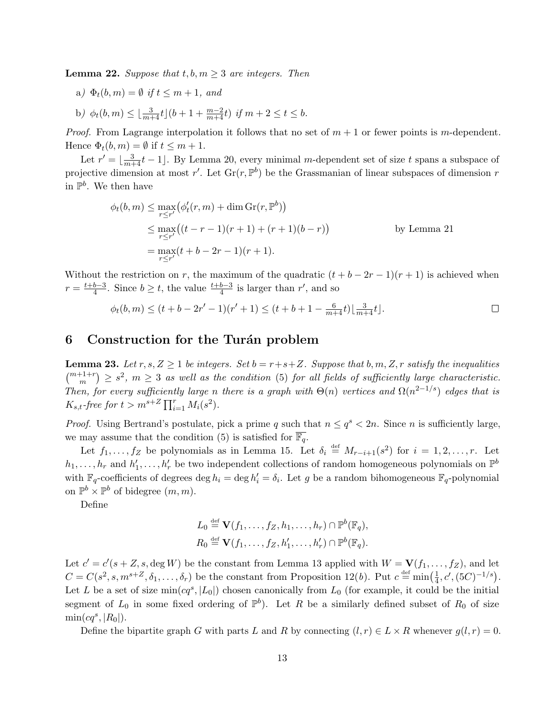<span id="page-12-1"></span>**Lemma 22.** Suppose that  $t, b, m \geq 3$  are integers. Then

- a)  $\Phi_t(b,m) = \emptyset$  if  $t \leq m+1$ , and
- <span id="page-12-2"></span>b)  $\phi_t(b,m) \leq \lfloor \frac{3}{m+4} t \rfloor (b+1 + \frac{m-2}{m+4}t)$  if  $m+2 \leq t \leq b$ .

*Proof.* From Lagrange interpolation it follows that no set of  $m + 1$  or fewer points is m-dependent. Hence  $\Phi_t(b,m) = \emptyset$  if  $t \leq m+1$ .

Let  $r' = \lfloor \frac{3}{m+4}t - 1 \rfloor$ . By [Lemma 20,](#page-10-0) every minimal m-dependent set of size t spans a subspace of projective dimension at most r'. Let  $\text{Gr}(r, \mathbb{P}^b)$  be the Grassmanian of linear subspaces of dimension r in  $\mathbb{P}^b$ . We then have

$$
\phi_t(b, m) \le \max_{r \le r'} (\phi'_t(r, m) + \dim \text{Gr}(r, \mathbb{P}^b))
$$
  
\n
$$
\le \max_{r \le r'} ((t - r - 1)(r + 1) + (r + 1)(b - r))
$$
 by Lemma 21  
\n
$$
= \max_{r \le r'} (t + b - 2r - 1)(r + 1).
$$

Without the restriction on r, the maximum of the quadratic  $(t + b - 2r - 1)(r + 1)$  is achieved when  $r=\frac{t+b-3}{4}$  $\frac{b-3}{4}$ . Since  $b \ge t$ , the value  $\frac{t+b-3}{4}$  is larger than r', and so

$$
\phi_t(b,m) \le (t+b-2r'-1)(r'+1) \le (t+b+1-\frac{6}{m+4}t)\lfloor \frac{3}{m+4}t \rfloor.
$$

# <span id="page-12-0"></span>6 Construction for the Turan problem

<span id="page-12-3"></span>**Lemma 23.** Let  $r, s, Z \geq 1$  be integers. Set  $b = r+s+Z$ . Suppose that  $b, m, Z, r$  satisfy the inequalities  $\binom{m+1+r}{m} \geq s^2$ ,  $m \geq 3$  as well as the condition [\(5\)](#page-8-0) for all fields of sufficiently large characteristic. Then, for every sufficiently large n there is a graph with  $\Theta(n)$  vertices and  $\Omega(n^{2-1/s})$  edges that is  $K_{s,t}$ -free for  $t > m^{s+Z} \prod_{i=1}^{r} M_i(s^2)$ .

*Proof.* Using Bertrand's postulate, pick a prime q such that  $n \leq q^s < 2n$ . Since n is sufficiently large, we may assume that the condition [\(5\)](#page-8-0) is satisfied for  $\mathbb{F}_q$ .

Let  $f_1, \ldots, f_Z$  be polynomials as in [Lemma 15.](#page-8-1) Let  $\delta_i \stackrel{\text{def}}{=} M_{r-i+1}(s^2)$  for  $i = 1, 2, \ldots, r$ . Let  $h_1, \ldots, h_r$  and  $h'_1, \ldots, h'_r$  be two independent collections of random homogeneous polynomials on  $\mathbb{P}^b$ with  $\mathbb{F}_q$ -coefficients of degrees deg  $h_i = \text{deg } h'_i = \delta_i$ . Let g be a random bihomogeneous  $\mathbb{F}_q$ -polynomial on  $\mathbb{P}^b \times \mathbb{P}^b$  of bidegree  $(m, m)$ .

Define

$$
L_0 \stackrel{\text{def}}{=} \mathbf{V}(f_1,\ldots,f_Z,h_1,\ldots,h_r) \cap \mathbb{P}^b(\mathbb{F}_q),
$$
  

$$
R_0 \stackrel{\text{def}}{=} \mathbf{V}(f_1,\ldots,f_Z,h'_1,\ldots,h'_r) \cap \mathbb{P}^b(\mathbb{F}_q).
$$

Let  $c' = c'(s + Z, s, \deg W)$  be the constant from [Lemma 13](#page-7-2) applied with  $W = V(f_1, \ldots, f_Z)$ , and let  $C = C(s^2, s, m^{s+Z}, \delta_1, \ldots, \delta_r)$  be the constant from [Proposition 12\(](#page-6-1)b). Put  $c \stackrel{\text{def}}{=} \min(\frac{1}{4})$  $\frac{1}{4}, c', (5C)^{-1/s}$ . Let L be a set of size  $\min(cq^s, |L_0|)$  chosen canonically from  $L_0$  (for example, it could be the initial segment of  $L_0$  in some fixed ordering of  $\mathbb{P}^b$ ). Let R be a similarly defined subset of  $R_0$  of size  $\min(cq^s, |R_0|).$ 

Define the bipartite graph G with parts L and R by connecting  $(l, r) \in L \times R$  whenever  $g(l, r) = 0$ .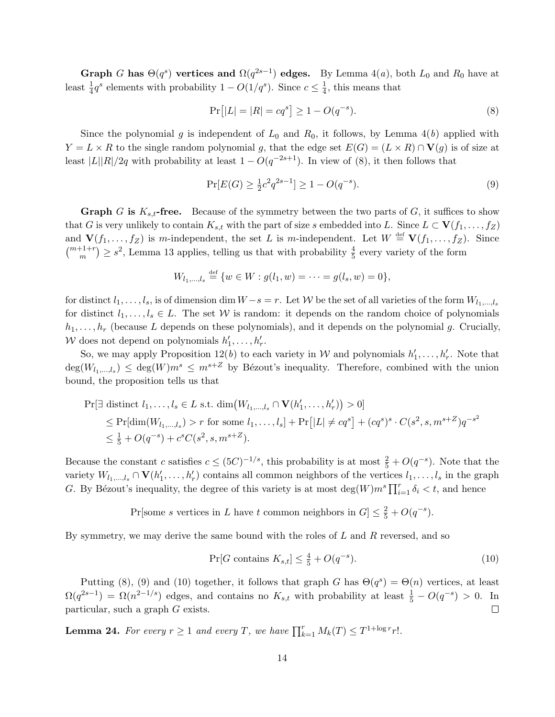Graph G has  $\Theta(q^s)$  vertices and  $\Omega(q^{2s-1})$  edges. By [Lemma 4\(](#page-3-2)*a*), both  $L_0$  and  $R_0$  have at least  $\frac{1}{4}q^s$  elements with probability  $1 - O(1/q^s)$ . Since  $c \leq \frac{1}{4}$  $\frac{1}{4}$ , this means that

<span id="page-13-0"></span>
$$
Pr[|L| = |R| = cq^s] \ge 1 - O(q^{-s}).
$$
\n(8)

Since the polynomial g is independent of  $L_0$  and  $R_0$ , it follows, by [Lemma 4\(](#page-3-3)b) applied with  $Y = L \times R$  to the single random polynomial g, that the edge set  $E(G) = (L \times R) \cap V(g)$  is of size at least  $|L||R|/2q$  with probability at least  $1 - O(q^{-2s+1})$ . In view of [\(8\)](#page-13-0), it then follows that

<span id="page-13-1"></span>
$$
\Pr[E(G) \ge \frac{1}{2}c^2 q^{2s-1}] \ge 1 - O(q^{-s}).\tag{9}
$$

**Graph** G is  $K_{s,t}$ -free. Because of the symmetry between the two parts of G, it suffices to show that G is very unlikely to contain  $K_{s,t}$  with the part of size s embedded into L. Since  $L \subset V(f_1, \ldots, f_Z)$ and  $\mathbf{V}(f_1,\ldots,f_Z)$  is m-independent, the set L is m-independent. Let  $W \stackrel{\text{def}}{=} \mathbf{V}(f_1,\ldots,f_Z)$ . Since  $\binom{m+1+r}{m} \geq s^2$ , [Lemma 13](#page-7-2) applies, telling us that with probability  $\frac{4}{5}$  every variety of the form

$$
W_{l_1,\dots,l_s} \stackrel{\text{def}}{=} \{w \in W : g(l_1, w) = \dots = g(l_s, w) = 0\},\
$$

for distinct  $l_1, \ldots, l_s$ , is of dimension dim  $W-s=r$ . Let W be the set of all varieties of the form  $W_{l_1,\ldots,l_s}$ for distinct  $l_1, \ldots, l_s \in L$ . The set W is random: it depends on the random choice of polynomials  $h_1, \ldots, h_r$  (because L depends on these polynomials), and it depends on the polynomial g. Crucially, W does not depend on polynomials  $h'_1, \ldots, h'_r$ .

So, we may apply [Proposition 12\(](#page-6-1)b) to each variety in W and polynomials  $h'_1, \ldots, h'_r$ . Note that  $deg(W_{l_1,\dots,l_s}) \leq deg(W)m^s \leq m^{s+Z}$  by Bézout's inequality. Therefore, combined with the union bound, the proposition tells us that

$$
\Pr[\exists \text{ distinct } l_1, \dots, l_s \in L \text{ s.t. } \dim(W_{l_1, \dots, l_s} \cap \mathbf{V}(h'_1, \dots, h'_r)) > 0] \le \Pr[\dim(W_{l_1, \dots, l_s}) > r \text{ for some } l_1, \dots, l_s] + \Pr[|L| \ne cq^s] + (cq^s)^s \cdot C(s^2, s, m^{s+Z})q^{-s^2} \le \frac{1}{5} + O(q^{-s}) + c^s C(s^2, s, m^{s+Z}).
$$

Because the constant c satisfies  $c \leq (5C)^{-1/s}$ , this probability is at most  $\frac{2}{5} + O(q^{-s})$ . Note that the variety  $W_{l_1,\dots,l_s} \cap \mathbf{V}(h'_1,\dots,h'_r)$  contains all common neighbors of the vertices  $l_1,\dots,l_s$  in the graph G. By Bézout's inequality, the degree of this variety is at most  $\deg(W)m^s \prod_{i=1}^r \delta_i < t$ , and hence

Pr[some s vertices in L have t common neighbors in  $G \leq \frac{2}{5} + O(q^{-s})$ .

By symmetry, we may derive the same bound with the roles of  $L$  and  $R$  reversed, and so

<span id="page-13-2"></span>
$$
\Pr[G \text{ contains } K_{s,t}] \le \frac{4}{5} + O(q^{-s}).\tag{10}
$$

Putting [\(8\)](#page-13-0), [\(9\)](#page-13-1) and [\(10\)](#page-13-2) together, it follows that graph G has  $\Theta(q^s) = \Theta(n)$  vertices, at least  $\Omega(q^{2s-1}) = \Omega(n^{2-1/s})$  edges, and contains no  $K_{s,t}$  with probability at least  $\frac{1}{5} - O(q^{-s}) > 0$ . In particular, such a graph G exists.  $\Box$ 

<span id="page-13-3"></span>**Lemma 24.** For every  $r \ge 1$  and every T, we have  $\prod_{k=1}^{r} M_k(T) \le T^{1+\log r} r!$ .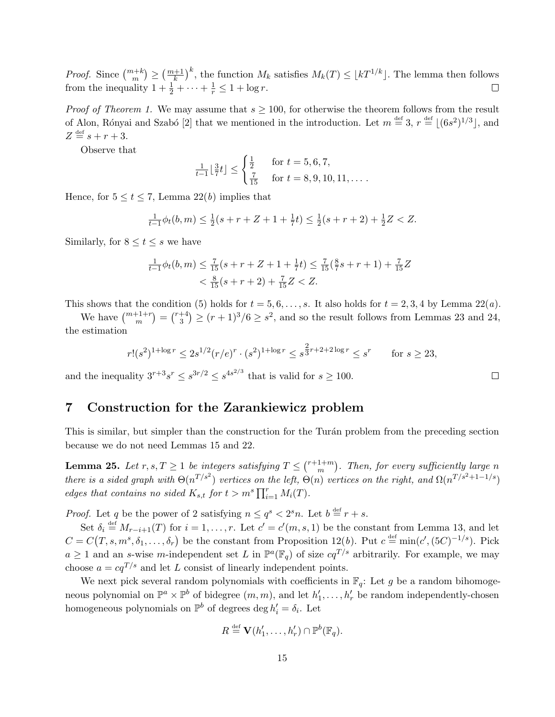*Proof.* Since  $\binom{m+k}{m} \geq \left(\frac{m+1}{k}\right)^k$ , the function  $M_k$  satisfies  $M_k(T) \leq \lfloor kT^{1/k} \rfloor$ . The lemma then follows from the inequality  $1 + \frac{1}{2} + \cdots + \frac{1}{r} \leq 1 + \log r$ .

*Proof of [Theorem 1.](#page-0-1)* We may assume that  $s \ge 100$ , for otherwise the theorem follows from the result of Alon, Rónyai and Szabó [\[2\]](#page-16-4) that we mentioned in the introduction. Let  $m \stackrel{\text{def}}{=} 3, r \stackrel{\text{def}}{=} |(6s^2)^{1/3}|$ , and  $Z \stackrel{\text{def}}{=} s + r + 3.$ 

Observe that

$$
\frac{1}{t-1} \lfloor \frac{3}{7} t \rfloor \le \begin{cases} \frac{1}{2} & \text{for } t = 5, 6, 7, \\ \frac{7}{15} & \text{for } t = 8, 9, 10, 11, \dots \end{cases}
$$

Hence, for  $5 \le t \le 7$ , Lemma  $22(b)$  implies that

$$
\frac{1}{t-1}\phi_t(b,m) \le \frac{1}{2}(s+r+Z+1+\frac{1}{7}t) \le \frac{1}{2}(s+r+2)+\frac{1}{2}Z < Z.
$$

Similarly, for  $8 \le t \le s$  we have

$$
\frac{1}{t-1}\phi_t(b,m) \le \frac{7}{15}(s+r+Z+1+\frac{1}{7}t) \le \frac{7}{15}(\frac{8}{7}s+r+1) + \frac{7}{15}Z
$$
  

$$
< \frac{8}{15}(s+r+2) + \frac{7}{15}Z < Z.
$$

This shows that the condition [\(5\)](#page-8-0) holds for  $t = 5, 6, \ldots, s$ . It also holds for  $t = 2, 3, 4$  by Lemma  $22(a)$ .

We have  $\binom{m+1+r}{m} = \binom{r+4}{3}$  $\binom{+4}{3} \ge (r+1)^3/6 \ge s^2$ , and so the result follows from [Lemmas 23](#page-12-3) and [24,](#page-13-3) the estimation

$$
r!(s^2)^{1+\log r} \le 2s^{1/2}(r/e)^r \cdot (s^2)^{1+\log r} \le s^{\frac{2}{3}r+2+2\log r} \le s^r \qquad \text{for } s \ge 23,
$$

and the inequality  $3^{r+3}s^r \leq s^{3r/2} \leq s^{4s^{2/3}}$  that is valid for  $s \geq 100$ .

### <span id="page-14-0"></span>7 Construction for the Zarankiewicz problem

This is similar, but simpler than the construction for the Turán problem from the preceding section because we do not need [Lemmas 15](#page-8-1) and [22.](#page-11-0)

<span id="page-14-1"></span>**Lemma 25.** Let  $r, s, T \geq 1$  be integers satisfying  $T \leq {r+1+m \choose m}$  $\binom{1+m}{m}$ . Then, for every sufficiently large n there is a sided graph with  $\Theta(n^{T/s^2})$  vertices on the left,  $\Theta(n)$  vertices on the right, and  $\Omega(n^{T/s^2+1-1/s})$ edges that contains no sided  $K_{s,t}$  for  $t > m^s \prod_{i=1}^r M_i(T)$ .

*Proof.* Let q be the power of 2 satisfying  $n \leq q^s < 2^s n$ . Let  $b \stackrel{\text{def}}{=} r + s$ .

Set  $\delta_i \stackrel{\text{def}}{=} M_{r-i+1}(T)$  for  $i = 1, \ldots, r$ . Let  $c' = c'(m, s, 1)$  be the constant from [Lemma 13,](#page-7-2) and let  $C = C(T, s, m^s, \delta_1, \ldots, \delta_r)$  be the constant from [Proposition 12\(](#page-6-1)b). Put  $c \stackrel{\text{def}}{=} \min(c', (5C)^{-1/s})$ . Pick  $a \geq 1$  and an s-wise m-independent set L in  $\mathbb{P}^a(\mathbb{F}_q)$  of size  $cq^{T/s}$  arbitrarily. For example, we may choose  $a = cq^{T/s}$  and let L consist of linearly independent points.

We next pick several random polynomials with coefficients in  $\mathbb{F}_q$ : Let g be a random bihomogeneous polynomial on  $\mathbb{P}^a \times \mathbb{P}^b$  of bidegree  $(m, m)$ , and let  $h'_1, \ldots, h'_r$  be random independently-chosen homogeneous polynomials on  $\mathbb{P}^b$  of degrees  $\deg h'_i = \delta_i$ . Let

$$
R \stackrel{\text{def}}{=} \mathbf{V}(h'_1, \ldots, h'_r) \cap \mathbb{P}^b(\mathbb{F}_q).
$$

 $\Box$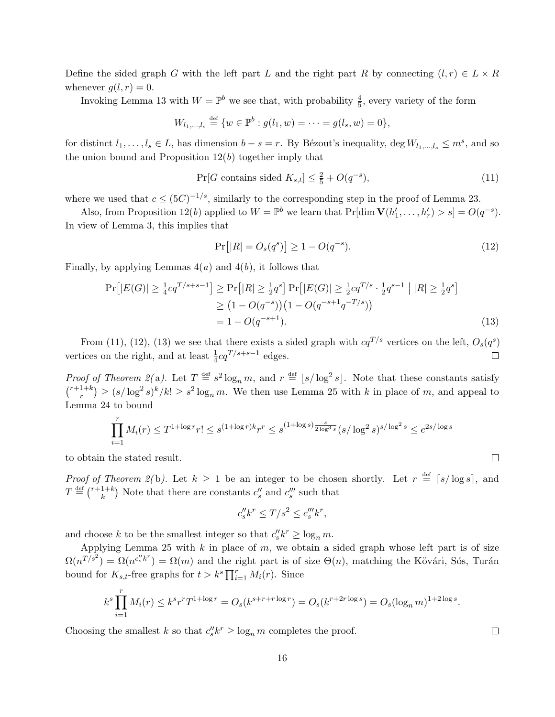Define the sided graph G with the left part L and the right part R by connecting  $(l, r) \in L \times R$ whenever  $g(l, r) = 0$ .

Invoking [Lemma 13](#page-7-2) with  $W = \mathbb{P}^b$  we see that, with probability  $\frac{4}{5}$ , every variety of the form

$$
W_{l_1,...,l_s} \stackrel{\text{def}}{=} \{w \in \mathbb{P}^b : g(l_1, w) = \cdots = g(l_s, w) = 0\},\
$$

for distinct  $l_1, \ldots, l_s \in L$ , has dimension  $b - s = r$ . By Bézout's inequality, deg  $W_{l_1,\ldots,l_s} \leq m^s$ , and so the union bound and Proposition  $12(b)$  together imply that

<span id="page-15-0"></span>
$$
\Pr[G \text{ contains sided } K_{s,t}] \le \frac{2}{5} + O(q^{-s}),\tag{11}
$$

where we used that  $c \leq (5C)^{-1/s}$ , similarly to the corresponding step in the proof of [Lemma 23.](#page-12-3)

Also, from [Proposition 12\(](#page-6-1)b) applied to  $W = \mathbb{P}^b$  we learn that  $\Pr[\dim \mathbf{V}(h'_1, \dots, h'_r) > s] = O(q^{-s}).$ In view of [Lemma 3,](#page-3-4) this implies that

<span id="page-15-1"></span>
$$
Pr[|R| = O_s(q^s)] \ge 1 - O(q^{-s}).
$$
\n(12)

Finally, by applying Lemmas  $4(a)$  and  $4(b)$ , it follows that

$$
\Pr[|E(G)| \ge \frac{1}{4}cq^{T/s+s-1}] \ge \Pr[|R| \ge \frac{1}{2}q^s] \Pr[|E(G)| \ge \frac{1}{2}cq^{T/s} \cdot \frac{1}{2}q^{s-1} | |R| \ge \frac{1}{2}q^s]
$$
  
\n
$$
\ge (1 - O(q^{-s})) (1 - O(q^{-s+1}q^{-T/s}))
$$
  
\n
$$
= 1 - O(q^{-s+1}). \tag{13}
$$

From [\(11\)](#page-15-0), [\(12\)](#page-15-1), [\(13\)](#page-15-2) we see that there exists a sided graph with  $cq^{T/s}$  vertices on the left,  $O_s(q^s)$ vertices on the right, and at least  $\frac{1}{4}cq^{T/s+s-1}$  edges.  $\Box$ 

*Proof of [Theorem 2\(](#page-1-1)a).* Let  $T \stackrel{\text{def}}{=} s^2 \log_n m$ , and  $r \stackrel{\text{def}}{=} \lfloor s/\log^2 s \rfloor$ . Note that these constants satisfy  $\binom{r+1+k}{r}$  $(n_r^{1+k}) \ge (s/\log^2 s)^k/k! \ge s^2 \log_n m$ . We then use [Lemma 25](#page-14-1) with k in place of m, and appeal to [Lemma 24](#page-13-3) to bound

$$
\prod_{i=1}^r M_i(r) \le T^{1 + \log r} r! \le s^{(1 + \log r)k} r^r \le s^{(1 + \log s) \frac{s}{2 \log^3 s}} (s / \log^2 s)^{s / \log^2 s} \le e^{2s / \log s}
$$

to obtain the stated result.

*Proof of [Theorem 2\(](#page-1-2)b).* Let  $k \geq 1$  be an integer to be chosen shortly. Let  $r \stackrel{\text{def}}{=} \lceil s/\log s \rceil$ , and  $T \stackrel{\text{def}}{=} \binom{r+1+k}{k}$  $\binom{1+k}{k}$  Note that there are constants  $c_s''$  and  $c_s'''$  such that

$$
c_s''k^r \le T/s^2 \le c_s'''k^r,
$$

and choose k to be the smallest integer so that  $c_s' k^r \ge \log_n m$ .

Applying [Lemma 25](#page-14-1) with  $k$  in place of  $m$ , we obtain a sided graph whose left part is of size  $\Omega(n^{T/s^2}) = \Omega(n^{c_s' k^r}) = \Omega(m)$  and the right part is of size  $\Theta(n)$ , matching the Kövári, Sós, Turán bound for  $K_{s,t}$ -free graphs for  $t > k^s \prod_{i=1}^r M_i(r)$ . Since

$$
k^{s} \prod_{i=1}^{r} M_{i}(r) \leq k^{s} r^{r} T^{1+\log r} = O_{s}(k^{s+r+r \log r}) = O_{s}(k^{r+2r \log s}) = O_{s}(\log_{n} m)^{1+2 \log s}.
$$

Choosing the smallest k so that  $c_s'' k^r \ge \log_n m$  completes the proof.

 $\Box$ 

<span id="page-15-2"></span> $\Box$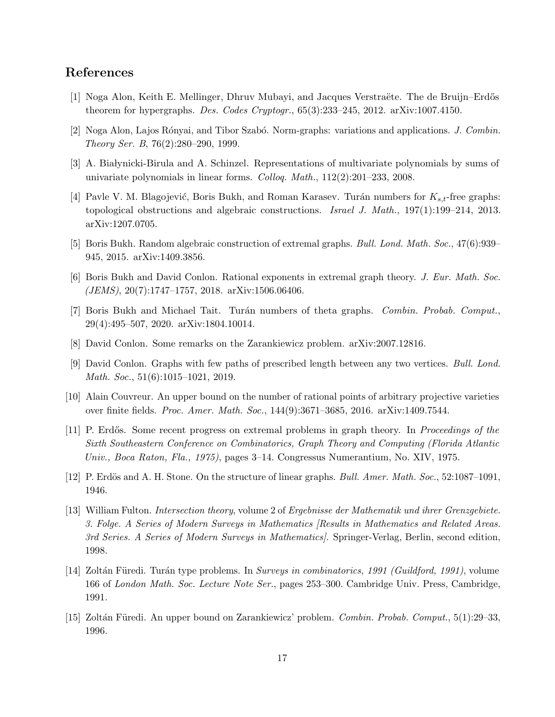# References

- <span id="page-16-9"></span>[1] Noga Alon, Keith E. Mellinger, Dhruv Mubayi, and Jacques Verstraëte. The de Bruijn–Erdős theorem for hypergraphs. Des. Codes Cryptogr., 65(3):233–245, 2012. [arXiv:1007.4150.](http://arxiv.org/pdf/1007.4150)
- <span id="page-16-4"></span>[2] Noga Alon, Lajos R´onyai, and Tibor Szab´o. Norm-graphs: variations and applications. J. Combin. Theory Ser. B, 76(2):280–290, 1999.
- <span id="page-16-12"></span>[3] A. Białynicki-Birula and A. Schinzel. Representations of multivariate polynomials by sums of univariate polynomials in linear forms. Colloq. Math., 112(2):201–233, 2008.
- <span id="page-16-5"></span>[4] Pavle V. M. Blagojević, Boris Bukh, and Roman Karasev. Turán numbers for  $K_{s,t}$ -free graphs: topological obstructions and algebraic constructions. Israel J. Math., 197(1):199–214, 2013. [arXiv:1207.0705.](http://arxiv.org/pdf/1207.0705)
- <span id="page-16-11"></span>[5] Boris Bukh. Random algebraic construction of extremal graphs. Bull. Lond. Math. Soc., 47(6):939– 945, 2015. [arXiv:1409.3856.](http://arxiv.org/pdf/1409.3856)
- <span id="page-16-7"></span>[6] Boris Bukh and David Conlon. Rational exponents in extremal graph theory. J. Eur. Math. Soc. (JEMS), 20(7):1747–1757, 2018. [arXiv:1506.06406.](http://arxiv.org/pdf/1506.06406)
- <span id="page-16-8"></span>[7] Boris Bukh and Michael Tait. Turán numbers of theta graphs. *Combin. Probab. Comput.*, 29(4):495–507, 2020. [arXiv:1804.10014.](http://arxiv.org/pdf/1804.10014)
- <span id="page-16-10"></span>[8] David Conlon. Some remarks on the Zarankiewicz problem. [arXiv:2007.12816.](http://arxiv.org/pdf/2007.12816)
- <span id="page-16-6"></span>[9] David Conlon. Graphs with few paths of prescribed length between any two vertices. Bull. Lond. Math. Soc., 51(6):1015–1021, 2019.
- <span id="page-16-13"></span>[10] Alain Couvreur. An upper bound on the number of rational points of arbitrary projective varieties over finite fields. Proc. Amer. Math. Soc., 144(9):3671–3685, 2016. [arXiv:1409.7544.](http://arxiv.org/pdf/1409.7544)
- <span id="page-16-2"></span>[11] P. Erdős. Some recent progress on extremal problems in graph theory. In *Proceedings of the* Sixth Southeastern Conference on Combinatorics, Graph Theory and Computing (Florida Atlantic Univ., Boca Raton, Fla., 1975), pages 3–14. Congressus Numerantium, No. XIV, 1975.
- <span id="page-16-0"></span>[12] P. Erdös and A. H. Stone. On the structure of linear graphs. *Bull. Amer. Math. Soc.*, 52:1087–1091, 1946.
- <span id="page-16-14"></span>[13] William Fulton. Intersection theory, volume 2 of Ergebnisse der Mathematik und ihrer Grenzgebiete. 3. Folge. A Series of Modern Surveys in Mathematics [Results in Mathematics and Related Areas. 3rd Series. A Series of Modern Surveys in Mathematics]. Springer-Verlag, Berlin, second edition, 1998.
- <span id="page-16-3"></span>[14] Zoltán Füredi. Turán type problems. In Surveys in combinatorics, 1991 (Guildford, 1991), volume 166 of London Math. Soc. Lecture Note Ser., pages 253–300. Cambridge Univ. Press, Cambridge, 1991.
- <span id="page-16-1"></span>[15] Zoltán Füredi. An upper bound on Zarankiewicz' problem. Combin. Probab. Comput., 5(1):29–33, 1996.